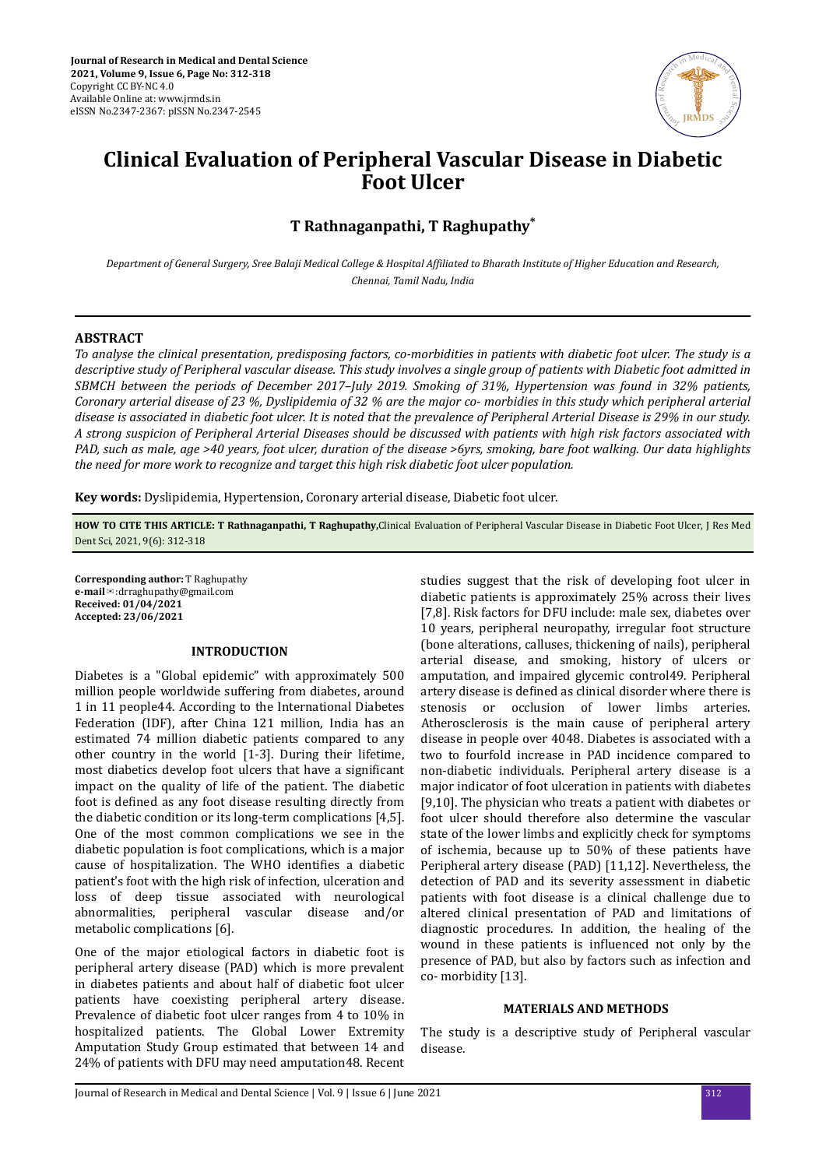

# **Clinical Evaluation of Peripheral Vascular Disease in Diabetic Foot Ulcer**

## **T Rathnaganpathi, T Raghupathy\***

*Department of General Surgery, Sree Balaji Medical College & Hospital Affiliated to Bharath Institute of Higher Education and Research, Chennai, Tamil Nadu, India*

#### **ABSTRACT**

*To analyse the clinical presentation, predisposing factors, co-morbidities in patients with diabetic foot ulcer. The study is a descriptive study of Peripheral vascular disease. This study involves a single group of patients with Diabetic foot admitted in SBMCH between the periods of December 2017–July 2019. Smoking of 31%, Hypertension was found in 32% patients, Coronary arterial disease of 23 %, Dyslipidemia of 32 % are the major co- morbidies in this study which peripheral arterial disease is associated in diabetic foot ulcer. It is noted that the prevalence of Peripheral Arterial Disease is 29% in our study. A strong suspicion of Peripheral Arterial Diseases should be discussed with patients with high risk factors associated with PAD, such as male, age >40 years, foot ulcer, duration of the disease >6yrs, smoking, bare foot walking. Our data highlights the need for more work to recognize and target this high risk diabetic foot ulcer population.*

**Key words:** Dyslipidemia, Hypertension, Coronary arterial disease, Diabetic foot ulcer.

**HOW TO CITE THIS ARTICLE: T Rathnaganpathi, T Raghupathy,**Clinical Evaluation of Peripheral Vascular Disease in Diabetic Foot Ulcer, J Res Med Dent Sci, 2021, 9(6): 312-318

**Corresponding author:** T Raghupathy **e-mail**✉:drraghupathy@gmail.com **Received: 01/04/2021 Accepted: 23/06/2021** 

#### **INTRODUCTION**

Diabetes is a "Global epidemic" with approximately 500 million people worldwide suffering from diabetes, around 1 in 11 people44. According to the International Diabetes Federation (IDF), after China 121 million, India has an estimated 74 million diabetic patients compared to any other country in the world [1-3]. During their lifetime, most diabetics develop foot ulcers that have a significant impact on the quality of life of the patient. The diabetic foot is defined as any foot disease resulting directly from the diabetic condition or its long-term complications [4,5]. One of the most common complications we see in the diabetic population is foot complications, which is a major cause of hospitalization. The WHO identifies a diabetic patient's foot with the high risk of infection, ulceration and loss of deep tissue associated with neurological abnormalities, peripheral vascular disease and/or metabolic complications [6].

One of the major etiological factors in diabetic foot is peripheral artery disease (PAD) which is more prevalent in diabetes patients and about half of diabetic foot ulcer patients have coexisting peripheral artery disease. Prevalence of diabetic foot ulcer ranges from 4 to 10% in hospitalized patients. The Global Lower Extremity Amputation Study Group estimated that between 14 and 24% of patients with DFU may need amputation48. Recent

studies suggest that the risk of developing foot ulcer in diabetic patients is approximately 25% across their lives [7,8]. Risk factors for DFU include: male sex, diabetes over 10 years, peripheral neuropathy, irregular foot structure (bone alterations, calluses, thickening of nails), peripheral arterial disease, and smoking, history of ulcers or amputation, and impaired glycemic control49. Peripheral artery disease is defined as clinical disorder where there is stenosis or occlusion of lower limbs arteries. Atherosclerosis is the main cause of peripheral artery disease in people over 4048. Diabetes is associated with a two to fourfold increase in PAD incidence compared to non-diabetic individuals. Peripheral artery disease is a major indicator of foot ulceration in patients with diabetes [9,10]. The physician who treats a patient with diabetes or foot ulcer should therefore also determine the vascular state of the lower limbs and explicitly check for symptoms of ischemia, because up to 50% of these patients have Peripheral artery disease (PAD) [11,12]. Nevertheless, the detection of PAD and its severity assessment in diabetic patients with foot disease is a clinical challenge due to altered clinical presentation of PAD and limitations of diagnostic procedures. In addition, the healing of the wound in these patients is influenced not only by the presence of PAD, but also by factors such as infection and co- morbidity [13].

### **MATERIALS AND METHODS**

The study is a descriptive study of Peripheral vascular disease.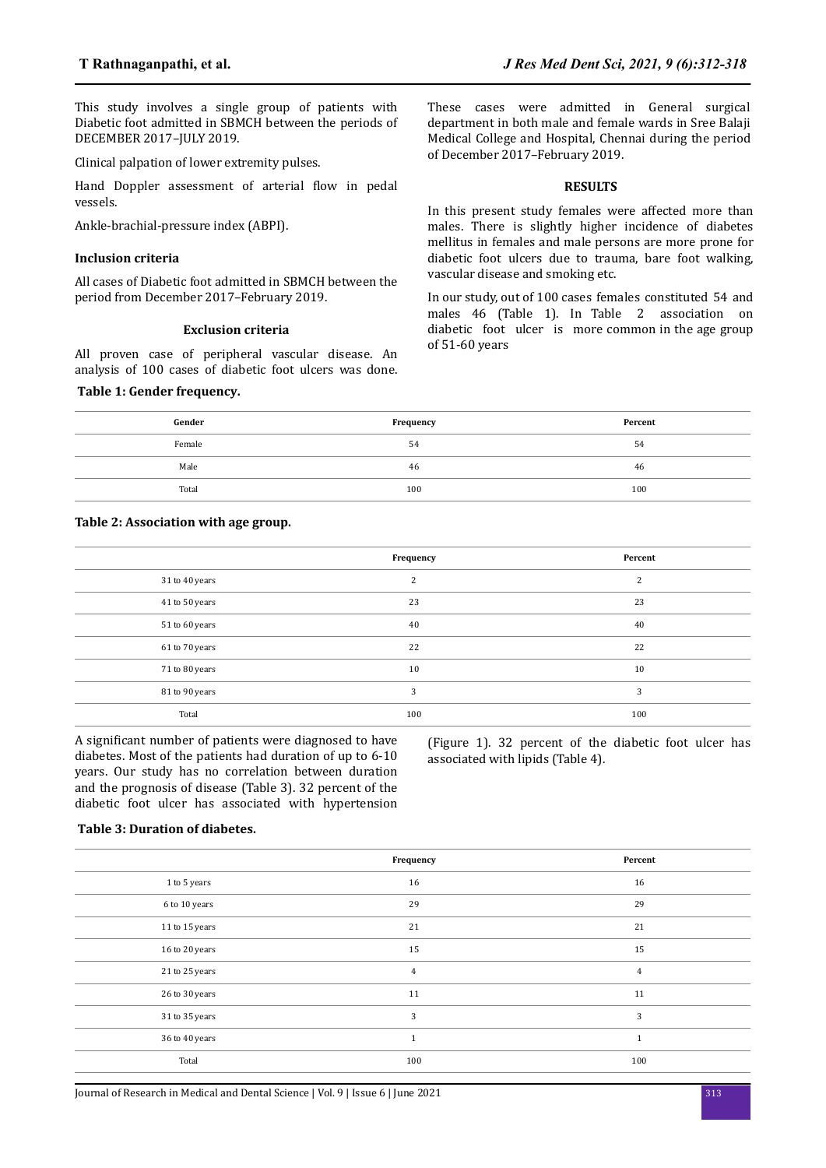This study involves a single group of patients with Diabetic foot admitted in SBMCH between the periods of DECEMBER 2017–JULY 2019.

Clinical palpation of lower extremity pulses.

Hand Doppler assessment of arterial flow in pedal vessels.

Ankle-brachial-pressure index (ABPI).

### **Inclusion criteria**

All cases of Diabetic foot admitted in SBMCH between the period from December 2017–February 2019.

#### **Exclusion criteria**

All proven case of peripheral vascular disease. An analysis of 100 cases of diabetic foot ulcers was done.

## **Table 1: Gender frequency.**

These cases were admitted in General surgical department in both male and female wards in Sree Balaji Medical College and Hospital, Chennai during the period of December 2017–February 2019.

#### **RESULTS**

In this present study females were affected more than males. There is slightly higher incidence of diabetes mellitus in females and male persons are more prone for diabetic foot ulcers due to trauma, bare foot walking, vascular disease and smoking etc.

In our study, out of 100 cases females constituted 54 and males 46 (Table 1). In Table 2 association on diabetic foot ulcer is more common in the age group of 51-60 years

| Gender | Frequency | Percent |
|--------|-----------|---------|
| Female | 54        | 54      |
| Male   | 46        | 46      |
| Total  | 100       | 100     |

## **Table 2: Association with age group.**

|                | Frequency | Percent |
|----------------|-----------|---------|
| 31 to 40 years | 2         | 2       |
| 41 to 50 years | 23        | 23      |
| 51 to 60 years | 40        | 40      |
| 61 to 70 years | 22        | 22      |
| 71 to 80 years | 10        | 10      |
| 81 to 90 years | 3         | 3       |
| Total          | 100       | 100     |

A significant number of patients were diagnosed to have diabetes. Most of the patients had duration of up to 6-10 years. Our study has no correlation between duration and the prognosis of disease (Table 3). 32 percent of the diabetic foot ulcer has associated with hypertension

(Figure 1). 32 percent of the diabetic foot ulcer has associated with lipids (Table 4).

#### **Table 3: Duration of diabetes.**

|                | Frequency      | Percent        |
|----------------|----------------|----------------|
| 1 to 5 years   | 16             | 16             |
| 6 to 10 years  | 29             | 29             |
| 11 to 15 years | 21             | 21             |
| 16 to 20 years | 15             | 15             |
| 21 to 25 years | $\overline{4}$ | $\overline{4}$ |
| 26 to 30 years | 11             | 11             |
| 31 to 35 years | 3              | 3              |
| 36 to 40 years | $\mathbf{1}$   | $\mathbf{1}$   |
| Total          | 100            | 100            |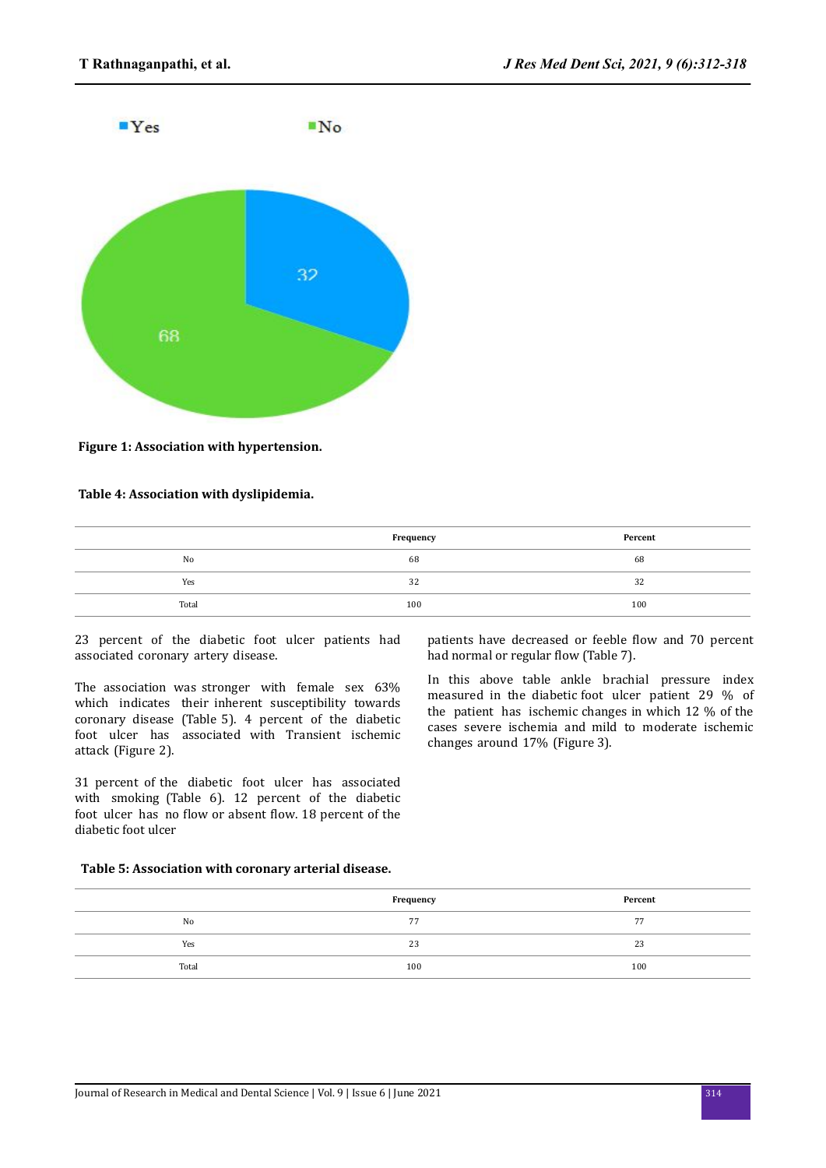

**Figure 1: Association with hypertension.**

## **Table 4: Association with dyslipidemia.**

|       | Frequency | Percent |
|-------|-----------|---------|
| No    | 68        | 68      |
| Yes   | 32        | 32      |
| Total | 100       | 100     |

23 percent of the diabetic foot ulcer patients had associated coronary artery disease.

The association was stronger with female sex 63% which indicates their inherent susceptibility towards coronary disease (Table 5). 4 percent of the diabetic foot ulcer has associated with Transient ischemic attack (Figure 2).

31 percent of the diabetic foot ulcer has associated with smoking (Table 6). 12 percent of the diabetic foot ulcer has no flow or absent flow. 18 percent of the diabetic foot ulcer

patients have decreased or feeble flow and 70 percent had normal or regular flow (Table 7).

In this above table ankle brachial pressure index measured in the diabetic foot ulcer patient 29 % of the patient has ischemic changes in which 12 % of the cases severe ischemia and mild to moderate ischemic changes around 17% (Figure 3).

## **Table 5: Association with coronary arterial disease.**

|       | Frequency | Percent |
|-------|-----------|---------|
| No    | 77        | 77      |
| Yes   | 23        | 23      |
| Total | 100       | 100     |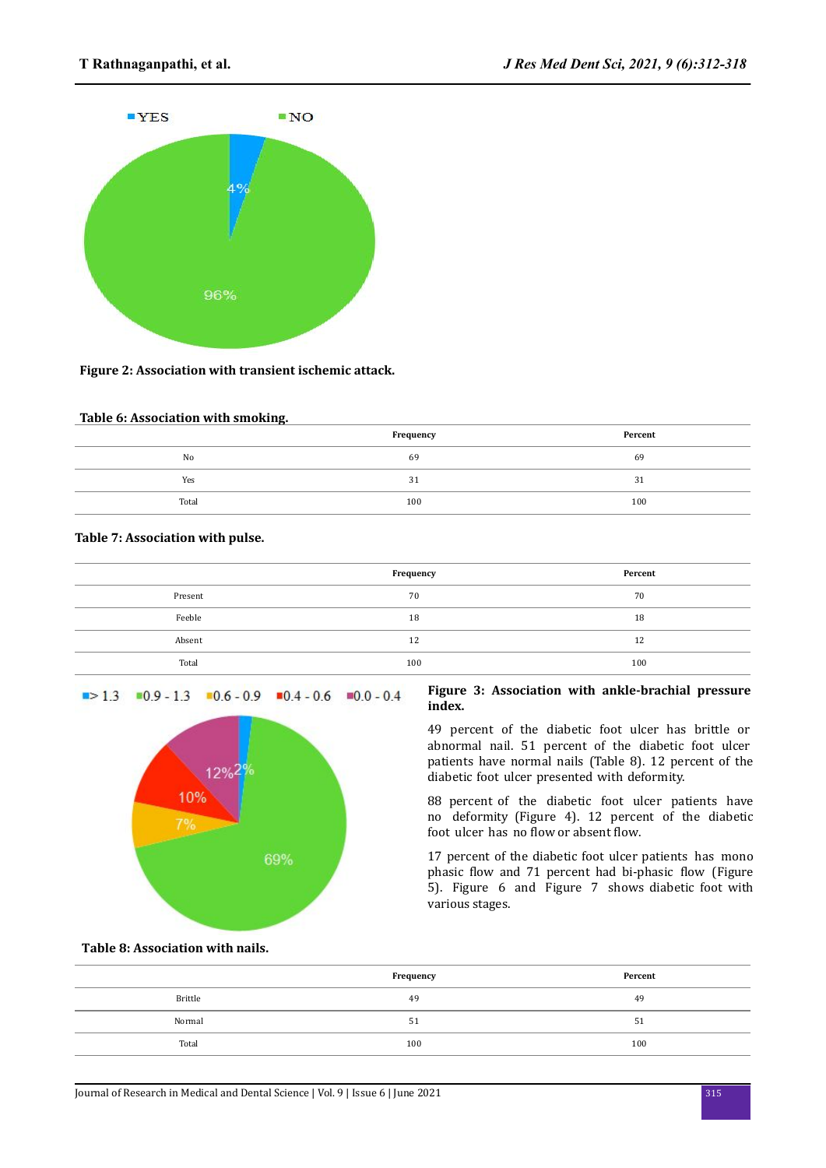

## **Figure 2: Association with transient ischemic attack.**

## **Table 6: Association with smoking.**

|       | Frequency | Percent |
|-------|-----------|---------|
| No    | 69        | 69      |
| Yes   | 31        | 31      |
| Total | 100       | 100     |

## **Table 7: Association with pulse.**

|         | Frequency | Percent |
|---------|-----------|---------|
| Present | 70        | 70      |
| Feeble  | 18        | 18      |
| Absent  | 12        | 12      |
| Total   | 100       | 100     |

## $\blacksquare$ > 1.3  $\blacksquare$ 0.9 - 1.3  $\blacksquare$ 0.6 - 0.9  $\blacksquare$ 0.4 - 0.6  $\blacksquare$ 0.0 - 0.4



## **Figure 3: Association with ankle-brachial pressure index.**

49 percent of the diabetic foot ulcer has brittle or abnormal nail. 51 percent of the diabetic foot ulcer patients have normal nails (Table 8). 12 percent of the diabetic foot ulcer presented with deformity.

88 percent of the diabetic foot ulcer patients have no deformity (Figure 4). 12 percent of the diabetic foot ulcer has no flow or absent flow.

17 percent of the diabetic foot ulcer patients has mono phasic flow and 71 percent had bi-phasic flow (Figure 5). Figure 6 and Figure 7 shows diabetic foot with various stages.

**Table 8: Association with nails.**

|         | Frequency | Percent |
|---------|-----------|---------|
| Brittle | 49        | 49      |
| Normal  | 51        | 51      |
| Total   | 100       | 100     |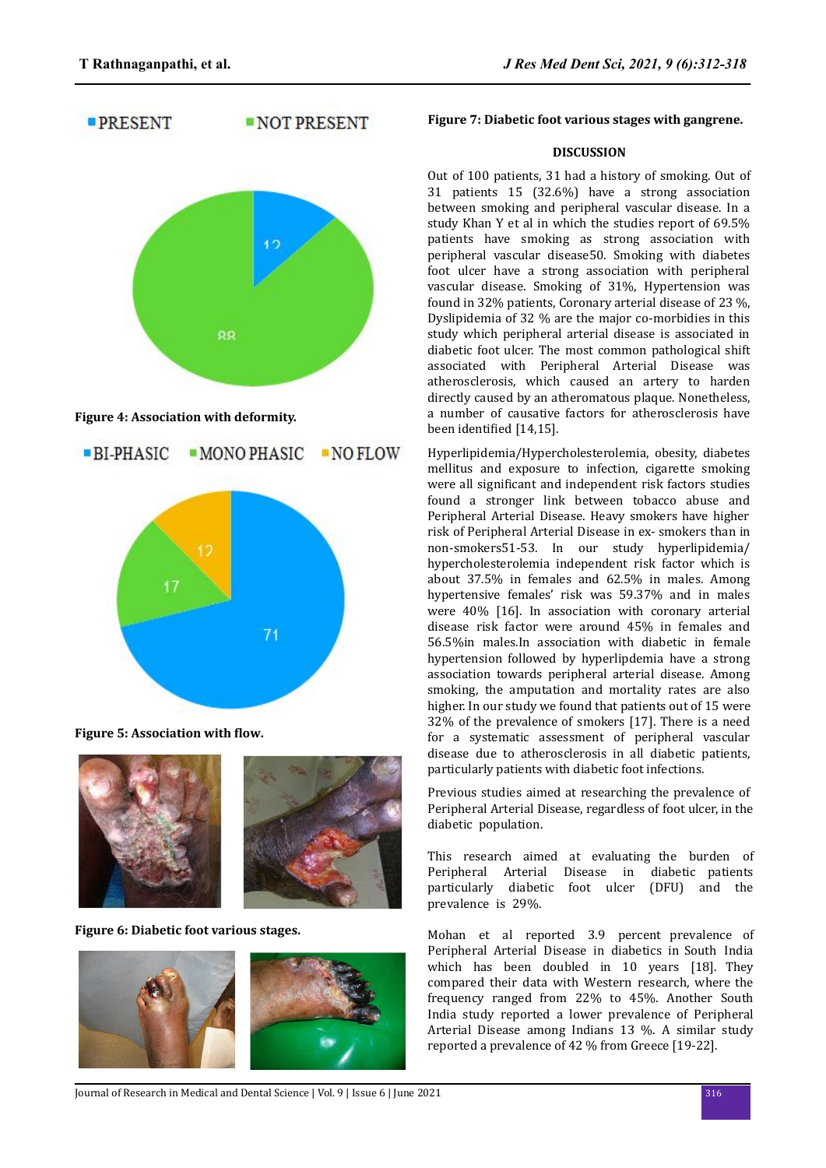



**Figure 5: Association with flow.** 



**Figure 6: Diabetic foot various stages.**



## **Figure 7: Diabetic foot various stages with gangrene.**

## **DISCUSSION**

Out of 100 patients, 31 had a history of smoking. Out of 31 patients 15 (32.6%) have a strong association between smoking and peripheral vascular disease. In a study Khan Y et al in which the studies report of 69.5% patients have smoking as strong association with peripheral vascular disease50. Smoking with diabetes foot ulcer have a strong association with peripheral vascular disease. Smoking of 31%, Hypertension was found in 32% patients, Coronary arterial disease of 23 %, Dyslipidemia of 32 % are the major co-morbidies in this study which peripheral arterial disease is associated in diabetic foot ulcer. The most common pathological shift associated with Peripheral Arterial Disease was atherosclerosis, which caused an artery to harden directly caused by an atheromatous plaque. Nonetheless, a number of causative factors for atherosclerosis have been identified [14,15].

Hyperlipidemia/Hypercholesterolemia, obesity, diabetes mellitus and exposure to infection, cigarette smoking were all significant and independent risk factors studies found a stronger link between tobacco abuse and Peripheral Arterial Disease. Heavy smokers have higher risk of Peripheral Arterial Disease in ex- smokers than in non-smokers51-53. In our study hyperlipidemia/ hypercholesterolemia independent risk factor which is about 37.5% in females and 62.5% in males. Among hypertensive females' risk was 59.37% and in males were 40% [16]. In association with coronary arterial disease risk factor were around 45% in females and 56.5%in males.In association with diabetic in female hypertension followed by hyperlipdemia have a strong association towards peripheral arterial disease. Among smoking, the amputation and mortality rates are also higher. In our study we found that patients out of 15 were 32% of the prevalence of smokers [17]. There is a need for a systematic assessment of peripheral vascular disease due to atherosclerosis in all diabetic patients, particularly patients with diabetic foot infections.

Previous studies aimed at researching the prevalence of Peripheral Arterial Disease, regardless of foot ulcer, in the diabetic population.

This research aimed at evaluating the burden of Peripheral Arterial Disease in diabetic patients particularly diabetic foot ulcer (DFU) and the prevalence is 29%.

Mohan et al reported 3.9 percent prevalence of Peripheral Arterial Disease in diabetics in South India which has been doubled in 10 years [18]. They compared their data with Western research, where the frequency ranged from 22% to 45%. Another South India study reported a lower prevalence of Peripheral Arterial Disease among Indians 13 %. A similar study reported a prevalence of 42 % from Greece [19-22].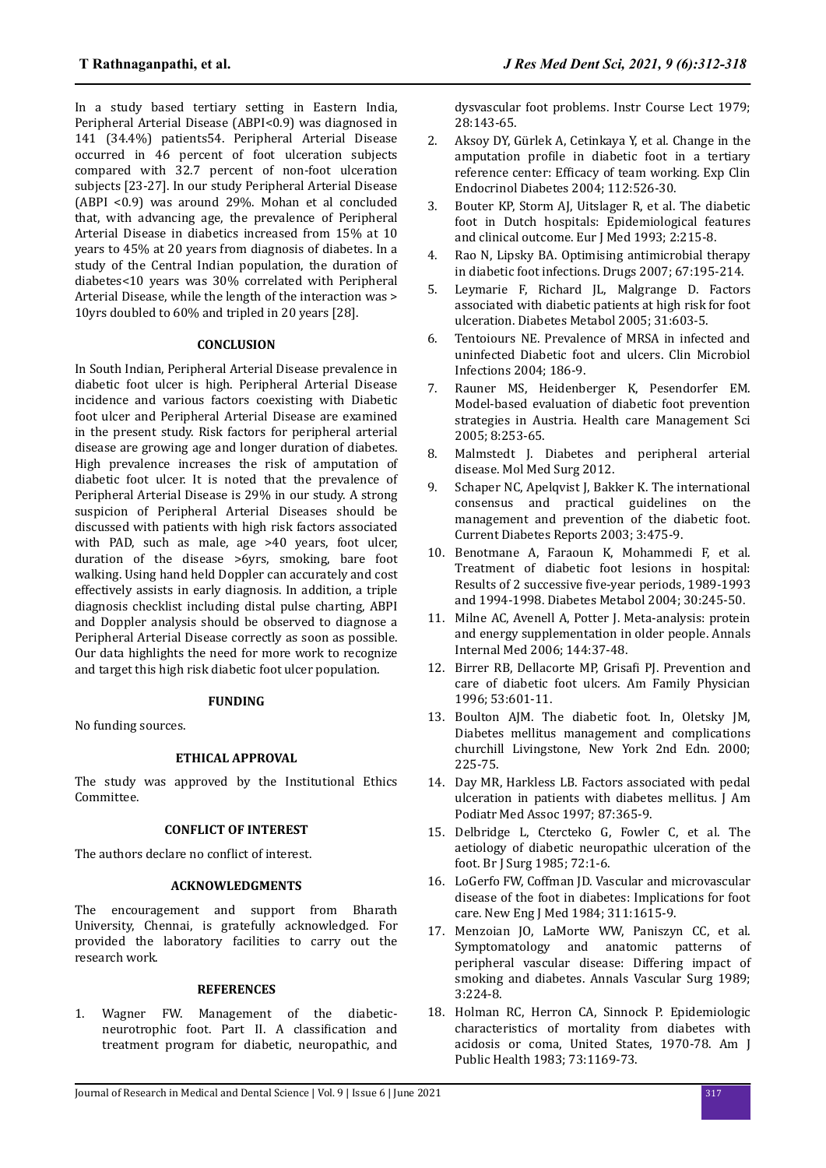In a study based tertiary setting in Eastern India, Peripheral Arterial Disease (ABPI<0.9) was diagnosed in 141 (34.4%) patients54. Peripheral Arterial Disease occurred in 46 percent of foot ulceration subjects compared with 32.7 percent of non-foot ulceration subjects [23-27]. In our study Peripheral Arterial Disease (ABPI <0.9) was around 29%. Mohan et al concluded that, with advancing age, the prevalence of Peripheral Arterial Disease in diabetics increased from 15% at 10 years to 45% at 20 years from diagnosis of diabetes. In a study of the Central Indian population, the duration of diabetes<10 years was 30% correlated with Peripheral Arterial Disease, while the length of the interaction was > 10yrs doubled to 60% and tripled in 20 years [28].

## **CONCLUSION**

In South Indian, Peripheral Arterial Disease prevalence in diabetic foot ulcer is high. Peripheral Arterial Disease incidence and various factors coexisting with Diabetic foot ulcer and Peripheral Arterial Disease are examined in the present study. Risk factors for peripheral arterial disease are growing age and longer duration of diabetes. High prevalence increases the risk of amputation of diabetic foot ulcer. It is noted that the prevalence of Peripheral Arterial Disease is 29% in our study. A strong suspicion of Peripheral Arterial Diseases should be discussed with patients with high risk factors associated with PAD, such as male, age >40 years, foot ulcer, duration of the disease >6yrs, smoking, bare foot walking. Using hand held Doppler can accurately and cost effectively assists in early diagnosis. In addition, a triple diagnosis checklist including distal pulse charting, ABPI and Doppler analysis should be observed to diagnose a Peripheral Arterial Disease correctly as soon as possible. Our data highlights the need for more work to recognize and target this high risk diabetic foot ulcer population.

#### **FUNDING**

No funding sources.

#### **ETHICAL APPROVAL**

The study was approved by the Institutional Ethics Committee.

#### **CONFLICT OF INTEREST**

The authors declare no conflict of interest.

#### **ACKNOWLEDGMENTS**

The encouragement and support from Bharath University, Chennai, is gratefully acknowledged. For provided the laboratory facilities to carry out the research work.

#### **REFERENCES**

1. Wagner FW. Management of the diabeticneurotrophic foot. Part II. A classification and treatment program for diabetic, neuropathic, and dysvascular foot problems. Instr Course Lect 1979; 28:143-65.

- 2. Aksoy DY, Gürlek A, Cetinkaya Y, et al. Change in the amputation profile in diabetic foot in a tertiary reference center: Efficacy of team working. Exp Clin Endocrinol Diabetes 2004; 112:526-30.
- 3. Bouter KP, Storm AJ, Uitslager R, et al. The diabetic foot in Dutch hospitals: Epidemiological features and clinical outcome. Eur J Med 1993; 2:215-8.
- 4. Rao N, Lipsky BA. Optimising antimicrobial therapy in diabetic foot infections. Drugs 2007; 67:195-214.
- 5. Leymarie F, Richard JL, Malgrange D. Factors associated with diabetic patients at high risk for foot ulceration. Diabetes Metabol 2005; 31:603-5.
- 6. Tentoiours NE. Prevalence of MRSA in infected and uninfected Diabetic foot and ulcers. Clin Microbiol Infections 2004; 186-9.
- 7. Rauner MS, Heidenberger K, Pesendorfer EM. Model-based evaluation of diabetic foot prevention strategies in Austria. Health care Management Sci 2005; 8:253-65.
- 8. Malmstedt J. Diabetes and peripheral arterial disease. Mol Med Surg 2012.
- 9. Schaper NC, Apelqvist J, Bakker K. The international consensus and practical guidelines on the management and prevention of the diabetic foot. Current Diabetes Reports 2003; 3:475-9.
- 10. Benotmane A, Faraoun K, Mohammedi F, et al. Treatment of diabetic foot lesions in hospital: Results of 2 successive five-year periods, 1989-1993 and 1994-1998. Diabetes Metabol 2004; 30:245-50.
- 11. Milne AC, Avenell A, Potter J. Meta-analysis: protein and energy supplementation in older people. Annals Internal Med 2006; 144:37-48.
- 12. Birrer RB, Dellacorte MP, Grisafi PJ. Prevention and care of diabetic foot ulcers. Am Family Physician 1996; 53:601-11.
- 13. Boulton AJM. The diabetic foot. In, Oletsky JM, Diabetes mellitus management and complications churchill Livingstone, New York 2nd Edn. 2000; 225-75.
- 14. Day MR, Harkless LB. Factors associated with pedal ulceration in patients with diabetes mellitus. J Am Podiatr Med Assoc 1997; 87:365-9.
- 15. Delbridge L, Ctercteko G, Fowler C, et al. The aetiology of diabetic neuropathic ulceration of the foot. Br J Surg 1985; 72:1-6.
- 16. LoGerfo FW, Coffman JD. Vascular and microvascular disease of the foot in diabetes: Implications for foot care. New Eng J Med 1984; 311:1615-9.
- 17. Menzoian JO, LaMorte WW, Paniszyn CC, et al. Symptomatology and anatomic patterns of peripheral vascular disease: Differing impact of smoking and diabetes. Annals Vascular Surg 1989; 3:224-8.
- 18. Holman RC, Herron CA, Sinnock P. Epidemiologic characteristics of mortality from diabetes with acidosis or coma, United States, 1970-78. Am J Public Health 1983; 73:1169-73.